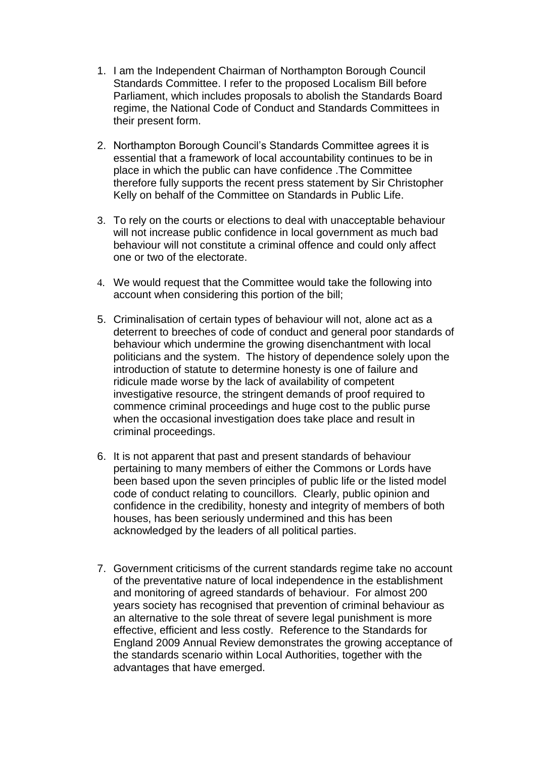- 1. I am the Independent Chairman of Northampton Borough Council Standards Committee. I refer to the proposed Localism Bill before Parliament, which includes proposals to abolish the Standards Board regime, the National Code of Conduct and Standards Committees in their present form.
- 2. Northampton Borough Council's Standards Committee agrees it is essential that a framework of local accountability continues to be in place in which the public can have confidence .The Committee therefore fully supports the recent press statement by Sir Christopher Kelly on behalf of the Committee on Standards in Public Life.
- 3. To rely on the courts or elections to deal with unacceptable behaviour will not increase public confidence in local government as much bad behaviour will not constitute a criminal offence and could only affect one or two of the electorate.
- 4. We would request that the Committee would take the following into account when considering this portion of the bill;
- 5. Criminalisation of certain types of behaviour will not, alone act as a deterrent to breeches of code of conduct and general poor standards of behaviour which undermine the growing disenchantment with local politicians and the system. The history of dependence solely upon the introduction of statute to determine honesty is one of failure and ridicule made worse by the lack of availability of competent investigative resource, the stringent demands of proof required to commence criminal proceedings and huge cost to the public purse when the occasional investigation does take place and result in criminal proceedings.
- 6. It is not apparent that past and present standards of behaviour pertaining to many members of either the Commons or Lords have been based upon the seven principles of public life or the listed model code of conduct relating to councillors. Clearly, public opinion and confidence in the credibility, honesty and integrity of members of both houses, has been seriously undermined and this has been acknowledged by the leaders of all political parties.
- 7. Government criticisms of the current standards regime take no account of the preventative nature of local independence in the establishment and monitoring of agreed standards of behaviour. For almost 200 years society has recognised that prevention of criminal behaviour as an alternative to the sole threat of severe legal punishment is more effective, efficient and less costly. Reference to the Standards for England 2009 Annual Review demonstrates the growing acceptance of the standards scenario within Local Authorities, together with the advantages that have emerged.